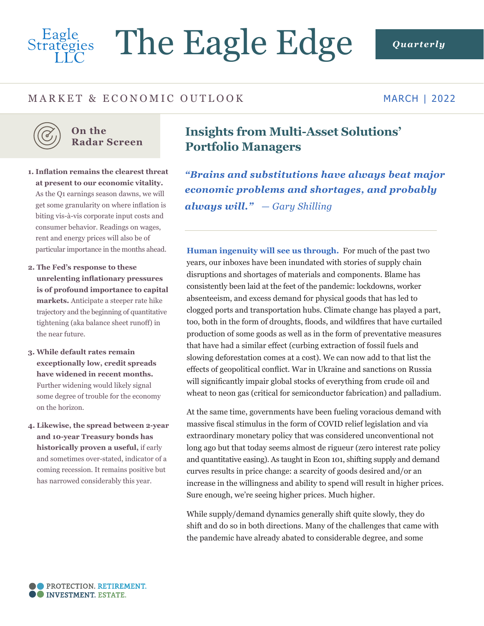# Eagle<br>Strategies The Eagle Edge *Quarterly*

# MARKET & ECONOMIC OUTLOOK

MARCH | 2022



## **On the Radar Screen**

- **1. Inflation remains the clearest threat at present to our economic vitality.**  As the Q1 earnings season dawns, we will get some granularity on where inflation is biting vis-à-vis corporate input costs and consumer behavior. Readings on wages, rent and energy prices will also be of particular importance in the months ahead.
- **2. The Fed's response to these unrelenting inflationary pressures is of profound importance to capital markets.** Anticipate a steeper rate hike trajectory and the beginning of quantitative tightening (aka balance sheet runoff) in the near future.
- **3. While default rates remain exceptionally low, credit spreads have widened in recent months.** Further widening would likely signal some degree of trouble for the economy on the horizon.
- **4. Likewise, the spread between 2-year and 10-year Treasury bonds has historically proven a useful,** if early and sometimes over-stated, indicator of a coming recession. It remains positive but has narrowed considerably this year.

# **Insights from Multi-Asset Solutions' Portfolio Managers**

*"Brains and substitutions have always beat major economic problems and shortages, and probably always will." — Gary Shilling*

**Human ingenuity will see us through.** For much of the past two years, our inboxes have been inundated with stories of supply chain disruptions and shortages of materials and components. Blame has consistently been laid at the feet of the pandemic: lockdowns, worker absenteeism, and excess demand for physical goods that has led to clogged ports and transportation hubs. Climate change has played a part, too, both in the form of droughts, floods, and wildfires that have curtailed production of some goods as well as in the form of preventative measures that have had a similar effect (curbing extraction of fossil fuels and slowing deforestation comes at a cost). We can now add to that list the effects of geopolitical conflict. War in Ukraine and sanctions on Russia will significantly impair global stocks of everything from crude oil and wheat to neon gas (critical for semiconductor fabrication) and palladium.

At the same time, governments have been fueling voracious demand with massive fiscal stimulus in the form of COVID relief legislation and via extraordinary monetary policy that was considered unconventional not long ago but that today seems almost de rigueur (zero interest rate policy and quantitative easing). As taught in Econ 101, shifting supply and demand curves results in price change: a scarcity of goods desired and/or an increase in the willingness and ability to spend will result in higher prices. Sure enough, we're seeing higher prices. Much higher.

While supply/demand dynamics generally shift quite slowly, they do shift and do so in both directions. Many of the challenges that came with the pandemic have already abated to considerable degree, and some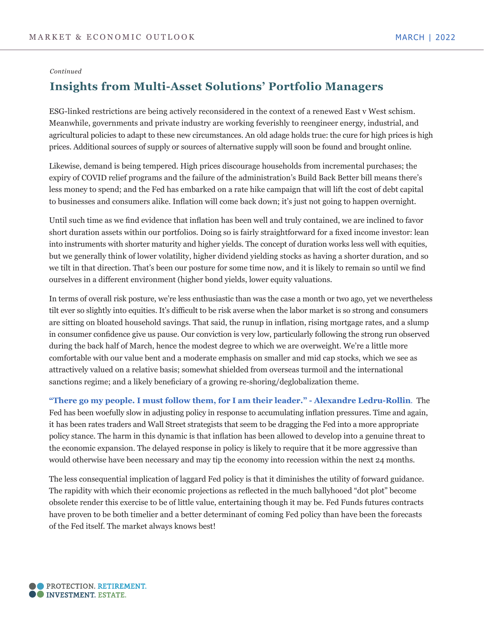#### *Continued*

# **Insights from Multi-Asset Solutions' Portfolio Managers**

ESG-linked restrictions are being actively reconsidered in the context of a renewed East v West schism. Meanwhile, governments and private industry are working feverishly to reengineer energy, industrial, and agricultural policies to adapt to these new circumstances. An old adage holds true: the cure for high prices is high prices. Additional sources of supply or sources of alternative supply will soon be found and brought online.

Likewise, demand is being tempered. High prices discourage households from incremental purchases; the expiry of COVID relief programs and the failure of the administration's Build Back Better bill means there's less money to spend; and the Fed has embarked on a rate hike campaign that will lift the cost of debt capital to businesses and consumers alike. Inflation will come back down; it's just not going to happen overnight.

Until such time as we find evidence that inflation has been well and truly contained, we are inclined to favor short duration assets within our portfolios. Doing so is fairly straightforward for a fixed income investor: lean into instruments with shorter maturity and higher yields. The concept of duration works less well with equities, but we generally think of lower volatility, higher dividend yielding stocks as having a shorter duration, and so we tilt in that direction. That's been our posture for some time now, and it is likely to remain so until we find ourselves in a different environment (higher bond yields, lower equity valuations.

In terms of overall risk posture, we're less enthusiastic than was the case a month or two ago, yet we nevertheless tilt ever so slightly into equities. It's difficult to be risk averse when the labor market is so strong and consumers are sitting on bloated household savings. That said, the runup in inflation, rising mortgage rates, and a slump in consumer confidence give us pause. Our conviction is very low, particularly following the strong run observed during the back half of March, hence the modest degree to which we are overweight. We're a little more comfortable with our value bent and a moderate emphasis on smaller and mid cap stocks, which we see as attractively valued on a relative basis; somewhat shielded from overseas turmoil and the international sanctions regime; and a likely beneficiary of a growing re-shoring/deglobalization theme.

**"There go my people. I must follow them, for I am their leader." - Alexandre Ledru-Rollin**. The Fed has been woefully slow in adjusting policy in response to accumulating inflation pressures. Time and again, it has been rates traders and Wall Street strategists that seem to be dragging the Fed into a more appropriate policy stance. The harm in this dynamic is that inflation has been allowed to develop into a genuine threat to the economic expansion. The delayed response in policy is likely to require that it be more aggressive than would otherwise have been necessary and may tip the economy into recession within the next 24 months.

The less consequential implication of laggard Fed policy is that it diminishes the utility of forward guidance. The rapidity with which their economic projections as reflected in the much ballyhooed "dot plot" become obsolete render this exercise to be of little value, entertaining though it may be. Fed Funds futures contracts have proven to be both timelier and a better determinant of coming Fed policy than have been the forecasts of the Fed itself. The market always knows best!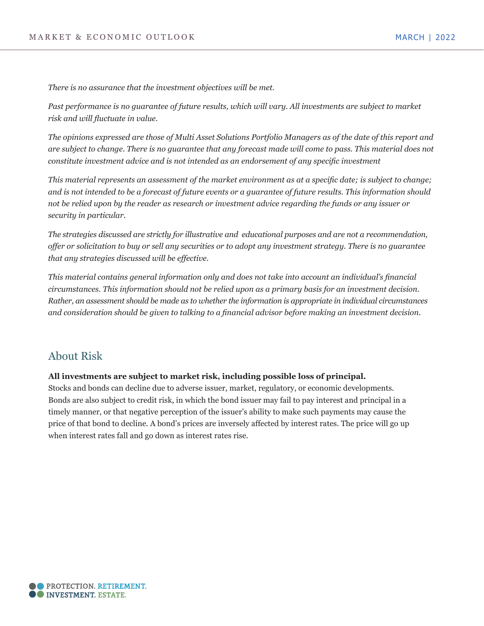*There is no assurance that the investment objectives will be met.*

*Past performance is no guarantee of future results, which will vary. All investments are subject to market risk and will fluctuate in value.* 

*The opinions expressed are those of Multi Asset Solutions Portfolio Managers as of the date of this report and are subject to change. There is no guarantee that any forecast made will come to pass. This material does not constitute investment advice and is not intended as an endorsement of any specific investment*

*This material represents an assessment of the market environment as at a specific date; is subject to change; and is not intended to be a forecast of future events or a guarantee of future results. This information should not be relied upon by the reader as research or investment advice regarding the funds or any issuer or security in particular.*

*The strategies discussed are strictly for illustrative and educational purposes and are not a recommendation, offer or solicitation to buy or sell any securities or to adopt any investment strategy. There is no guarantee that any strategies discussed will be effective.*

*This material contains general information only and does not take into account an individual's financial circumstances. This information should not be relied upon as a primary basis for an investment decision. Rather, an assessment should be made as to whether the information is appropriate in individual circumstances and consideration should be given to talking to a financial advisor before making an investment decision.*

# About Risk

### **All investments are subject to market risk, including possible loss of principal.**

Stocks and bonds can decline due to adverse issuer, market, regulatory, or economic developments. Bonds are also subject to credit risk, in which the bond issuer may fail to pay interest and principal in a timely manner, or that negative perception of the issuer's ability to make such payments may cause the price of that bond to decline. A bond's prices are inversely affected by interest rates. The price will go up when interest rates fall and go down as interest rates rise.